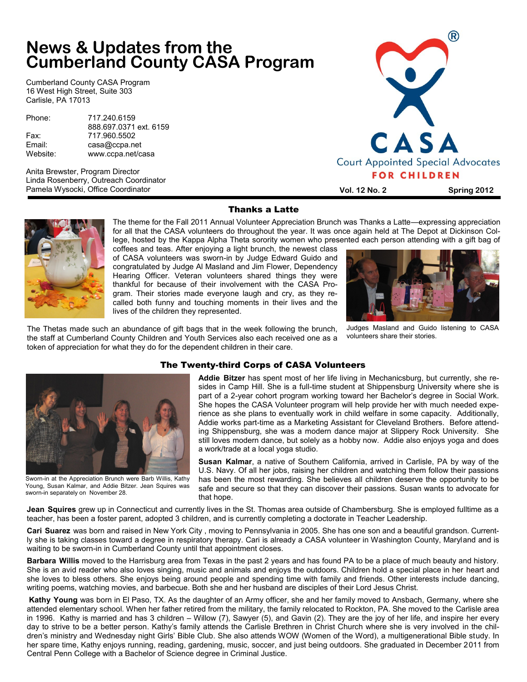# **News & Updates from the Cumberland County CASA Program**

Cumberland County CASA Program 16 West High Street, Suite 303 Carlisle, PA 17013

| Phone:   | 717.240.6159           |
|----------|------------------------|
|          | 888.697.0371 ext. 6159 |
| Fax:     | 717.960.5502           |
| Email:   | casa@ccpa.net          |
| Website: | www.ccpa.net/casa      |

Anita Brewster, Program Director Linda Rosenberry, Outreach Coordinator Pamela Wysocki, Office Coordinator



**Vol. 12 No. 2 Spring 2012**



The theme for the Fall 2011 Annual Volunteer Appreciation Brunch was Thanks a Latte—expressing appreciation for all that the CASA volunteers do throughout the year. It was once again held at The Depot at Dickinson College, hosted by the Kappa Alpha Theta sorority women who presented each person attending with a gift bag of

coffees and teas. After enjoying a light brunch, the newest class of CASA volunteers was sworn-in by Judge Edward Guido and congratulated by Judge Al Masland and Jim Flower, Dependency Hearing Officer. Veteran volunteers shared things they were thankful for because of their involvement with the CASA Program. Their stories made everyone laugh and cry, as they recalled both funny and touching moments in their lives and the lives of the children they represented.

The Thetas made such an abundance of gift bags that in the week following the brunch, the staff at Cumberland County Children and Youth Services also each received one as a

token of appreciation for what they do for the dependent children in their care.



Judges Masland and Guido listening to CASA volunteers share their stories.



Sworn-in at the Appreciation Brunch were Barb Willis, Kathy Young, Susan Kalmar, and Addie Bitzer. Jean Squires was sworn-in separately on November 28.

### The Twenty-third Corps of CASA Volunteers

**Addie Bitzer** has spent most of her life living in Mechanicsburg, but currently, she resides in Camp Hill. She is a full-time student at Shippensburg University where she is part of a 2-year cohort program working toward her Bachelor's degree in Social Work. She hopes the CASA Volunteer program will help provide her with much needed experience as she plans to eventually work in child welfare in some capacity. Additionally, Addie works part-time as a Marketing Assistant for Cleveland Brothers. Before attending Shippensburg, she was a modern dance major at Slippery Rock University. She still loves modern dance, but solely as a hobby now. Addie also enjoys yoga and does a work/trade at a local yoga studio.

**Susan Kalmar**, a native of Southern California, arrived in Carlisle, PA by way of the U.S. Navy. Of all her jobs, raising her children and watching them follow their passions has been the most rewarding. She believes all children deserve the opportunity to be safe and secure so that they can discover their passions. Susan wants to advocate for that hope.

**Jean Squires** grew up in Connecticut and currently lives in the St. Thomas area outside of Chambersburg. She is employed fulltime as a teacher, has been a foster parent, adopted 3 children, and is currently completing a doctorate in Teacher Leadership.

**Cari Suarez** was born and raised in New York City , moving to Pennsylvania in 2005. She has one son and a beautiful grandson. Currently she is taking classes toward a degree in respiratory therapy. Cari is already a CASA volunteer in Washington County, Maryland and is waiting to be sworn-in in Cumberland County until that appointment closes.

**Barbara Willis** moved to the Harrisburg area from Texas in the past 2 years and has found PA to be a place of much beauty and history. She is an avid reader who also loves singing, music and animals and enjoys the outdoors. Children hold a special place in her heart and she loves to bless others. She enjoys being around people and spending time with family and friends. Other interests include dancing, writing poems, watching movies, and barbecue. Both she and her husband are disciples of their Lord Jesus Christ.

**Kathy Young** was born in El Paso, TX. As the daughter of an Army officer, she and her family moved to Ansbach, Germany, where she attended elementary school. When her father retired from the military, the family relocated to Rockton, PA. She moved to the Carlisle area in 1996. Kathy is married and has 3 children – Willow (7), Sawyer (5), and Gavin (2). They are the joy of her life, and inspire her every day to strive to be a better person. Kathy's family attends the Carlisle Brethren in Christ Church where she is very involved in the children's ministry and Wednesday night Girls' Bible Club. She also attends WOW (Women of the Word), a multigenerational Bible study. In her spare time, Kathy enjoys running, reading, gardening, music, soccer, and just being outdoors. She graduated in December 2011 from Central Penn College with a Bachelor of Science degree in Criminal Justice.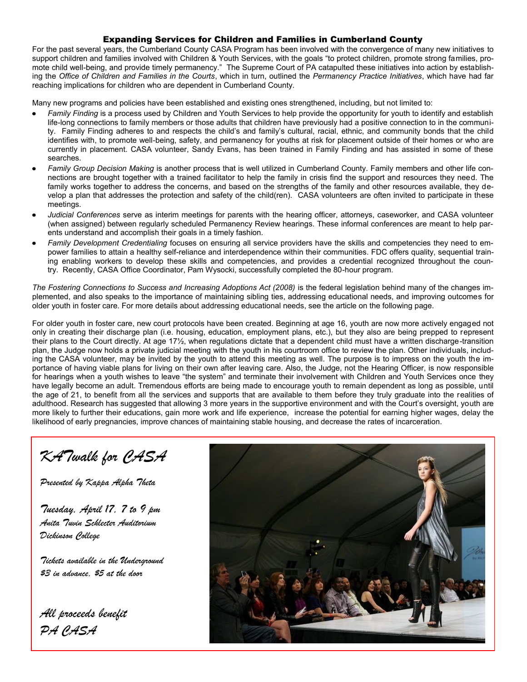#### Expanding Services for Children and Families in Cumberland County

For the past several years, the Cumberland County CASA Program has been involved with the convergence of many new initiatives to support children and families involved with Children & Youth Services, with the goals "to protect children, promote strong families, promote child well-being, and provide timely permanency." The Supreme Court of PA catapulted these initiatives into action by establishing the *Office of Children and Families in the Courts*, which in turn, outlined the *Permanency Practice Initiatives*, which have had far reaching implications for children who are dependent in Cumberland County.

Many new programs and policies have been established and existing ones strengthened, including, but not limited to:

- *Family Finding* is a process used by Children and Youth Services to help provide the opportunity for youth to identify and establish life-long connections to family members or those adults that children have previously had a positive connection to in the community. Family Finding adheres to and respects the child's and family's cultural, racial, ethnic, and community bonds that the child identifies with, to promote well-being, safety, and permanency for youths at risk for placement outside of their homes or who are currently in placement. CASA volunteer, Sandy Evans, has been trained in Family Finding and has assisted in some of these searches.
- *Family Group Decision Making* is another process that is well utilized in Cumberland County. Family members and other life connections are brought together with a trained facilitator to help the family in crisis find the support and resources they need. The family works together to address the concerns, and based on the strengths of the family and other resources available, they develop a plan that addresses the protection and safety of the child(ren). CASA volunteers are often invited to participate in these meetings.
- *Judicial Conferences* serve as interim meetings for parents with the hearing officer, attorneys, caseworker, and CASA volunteer (when assigned) between regularly scheduled Permanency Review hearings. These informal conferences are meant to help parents understand and accomplish their goals in a timely fashion.
- *Family Development Credentialing* focuses on ensuring all service providers have the skills and competencies they need to empower families to attain a healthy self-reliance and interdependence within their communities. FDC offers quality, sequential training enabling workers to develop these skills and competencies, and provides a credential recognized throughout the country. Recently, CASA Office Coordinator, Pam Wysocki, successfully completed the 80-hour program.

*The Fostering Connections to Success and Increasing Adoptions Act (2008)* is the federal legislation behind many of the changes implemented, and also speaks to the importance of maintaining sibling ties, addressing educational needs, and improving outcomes for older youth in foster care. For more details about addressing educational needs, see the article on the following page.

For older youth in foster care, new court protocols have been created. Beginning at age 16, youth are now more actively engaged not only in creating their discharge plan (i.e. housing, education, employment plans, etc.), but they also are being prepped to represent their plans to the Court directly. At age 17½, when regulations dictate that a dependent child must have a written discharge-transition plan, the Judge now holds a private judicial meeting with the youth in his courtroom office to review the plan. Other individuals, including the CASA volunteer, may be invited by the youth to attend this meeting as well. The purpose is to impress on the youth the importance of having viable plans for living on their own after leaving care. Also, the Judge, not the Hearing Officer, is now responsible for hearings when a youth wishes to leave "the system" and terminate their involvement with Children and Youth Services once they have legally become an adult. Tremendous efforts are being made to encourage youth to remain dependent as long as possible, until the age of 21, to benefit from all the services and supports that are available to them before they truly graduate into the realities of adulthood. Research has suggested that allowing 3 more years in the supportive environment and with the Court's oversight, youth are more likely to further their educations, gain more work and life experience, increase the potential for earning higher wages, delay the likelihood of early pregnancies, improve chances of maintaining stable housing, and decrease the rates of incarceration.

*KATwalk for CASA*

*Presented by Kappa Alpha Theta*

*Tuesday, April 17, 7 to 9 pm Anita Tuvin Schlecter Auditorium Dickinson College*

*Tickets available in the Underground \$3 in advance, \$5 at the door*

*All proceeds benefit PA CASA*

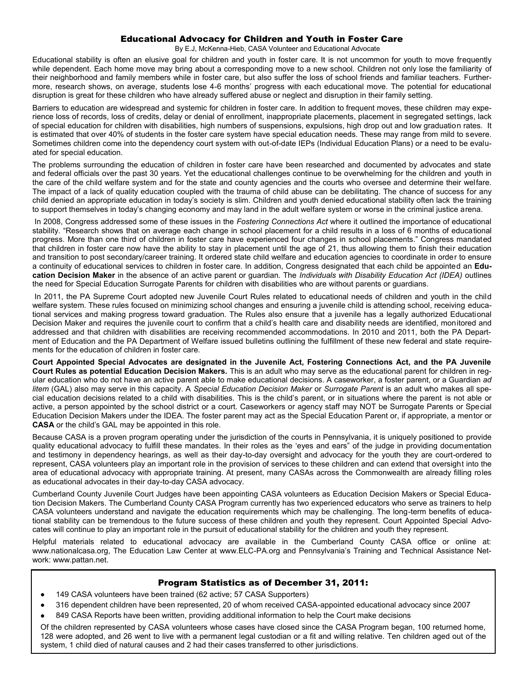#### Educational Advocacy for Children and Youth in Foster Care

By E.J, McKenna-Hieb, CASA Volunteer and Educational Advocate

Educational stability is often an elusive goal for children and youth in foster care. It is not uncommon for youth to move frequently while dependent. Each home move may bring about a corresponding move to a new school. Children not only lose the familiarity of their neighborhood and family members while in foster care, but also suffer the loss of school friends and familiar teachers. Furthermore, research shows, on average, students lose 4-6 months' progress with each educational move. The potential for educational disruption is great for these children who have already suffered abuse or neglect and disruption in their family setting.

Barriers to education are widespread and systemic for children in foster care. In addition to frequent moves, these children may experience loss of records, loss of credits, delay or denial of enrollment, inappropriate placements, placement in segregated settings, lack of special education for children with disabilities, high numbers of suspensions, expulsions, high drop out and low graduation rates. It is estimated that over 40% of students in the foster care system have special education needs. These may range from mild to severe. Sometimes children come into the dependency court system with out-of-date IEPs (Individual Education Plans) or a need to be evaluated for special education.

The problems surrounding the education of children in foster care have been researched and documented by advocates and state and federal officials over the past 30 years. Yet the educational challenges continue to be overwhelming for the children and youth in the care of the child welfare system and for the state and county agencies and the courts who oversee and determine their welfare. The impact of a lack of quality education coupled with the trauma of child abuse can be debilitating. The chance of success for any child denied an appropriate education in today's society is slim. Children and youth denied educational stability often lack the training to support themselves in today's changing economy and may land in the adult welfare system or worse in the criminal justice arena.

In 2008, Congress addressed some of these issues in the *Fostering Connections Act* where it outlined the importance of educational stability. "Research shows that on average each change in school placement for a child results in a loss of 6 months of educational progress. More than one third of children in foster care have experienced four changes in school placements." Congress mandated that children in foster care now have the ability to stay in placement until the age of 21, thus allowing them to finish their education and transition to post secondary/career training. It ordered state child welfare and education agencies to coordinate in order to ensure a continuity of educational services to children in foster care. In addition, Congress designated that each child be appointed an **Education Decision Maker** in the absence of an active parent or guardian. The *Individuals with Disability Education Act (IDEA)* outlines the need for Special Education Surrogate Parents for children with disabilities who are without parents or guardians.

In 2011, the PA Supreme Court adopted new Juvenile Court Rules related to educational needs of children and youth in the child welfare system. These rules focused on minimizing school changes and ensuring a juvenile child is attending school, receiving educational services and making progress toward graduation. The Rules also ensure that a juvenile has a legally authorized Educational Decision Maker and requires the juvenile court to confirm that a child's health care and disability needs are identified, monitored and addressed and that children with disabilities are receiving recommended accommodations. In 2010 and 2011, both the PA Department of Education and the PA Department of Welfare issued bulletins outlining the fulfillment of these new federal and state requirements for the education of children in foster care.

**Court Appointed Special Advocates are designated in the Juvenile Act, Fostering Connections Act, and the PA Juvenile Court Rules as potential Education Decision Makers.** This is an adult who may serve as the educational parent for children in regular education who do not have an active parent able to make educational decisions. A caseworker, a foster parent, or a Guardian *ad litem* (GAL) also may serve in this capacity. A *Special Education Decision Maker* or *Surrogate Parent* is an adult who makes all special education decisions related to a child with disabilities. This is the child's parent, or in situations where the parent is not able or active, a person appointed by the school district or a court. Caseworkers or agency staff may NOT be Surrogate Parents or Special Education Decision Makers under the IDEA. The foster parent may act as the Special Education Parent or, if appropriate, a mentor or **CASA** or the child's GAL may be appointed in this role.

Because CASA is a proven program operating under the jurisdiction of the courts in Pennsylvania, it is uniquely positioned to provide quality educational advocacy to fulfill these mandates. In their roles as the 'eyes and ears" of the judge in providing documentation and testimony in dependency hearings, as well as their day-to-day oversight and advocacy for the youth they are court-ordered to represent, CASA volunteers play an important role in the provision of services to these children and can extend that oversight into the area of educational advocacy with appropriate training. At present, many CASAs across the Commonwealth are already filling roles as educational advocates in their day-to-day CASA advocacy.

Cumberland County Juvenile Court Judges have been appointing CASA volunteers as Education Decision Makers or Special Education Decision Makers. The Cumberland County CASA Program currently has two experienced educators who serve as trainers to help CASA volunteers understand and navigate the education requirements which may be challenging. The long-term benefits of educational stability can be tremendous to the future success of these children and youth they represent. Court Appointed Special Advocates will continue to play an important role in the pursuit of educational stability for the children and youth they represent.

Helpful materials related to educational advocacy are available in the Cumberland County CASA office or online at: www.nationalcasa.org, The Education Law Center at www.ELC-PA.org and Pennsylvania's Training and Technical Assistance Network: www.pattan.net.

#### Program Statistics as of December 31, 2011:

- 149 CASA volunteers have been trained (62 active; 57 CASA Supporters)
- 316 dependent children have been represented, 20 of whom received CASA-appointed educational advocacy since 2007
- 849 CASA Reports have been written, providing additional information to help the Court make decisions

Of the children represented by CASA volunteers whose cases have closed since the CASA Program began, 100 returned home, 128 were adopted, and 26 went to live with a permanent legal custodian or a fit and willing relative. Ten children aged out of the system, 1 child died of natural causes and 2 had their cases transferred to other jurisdictions.